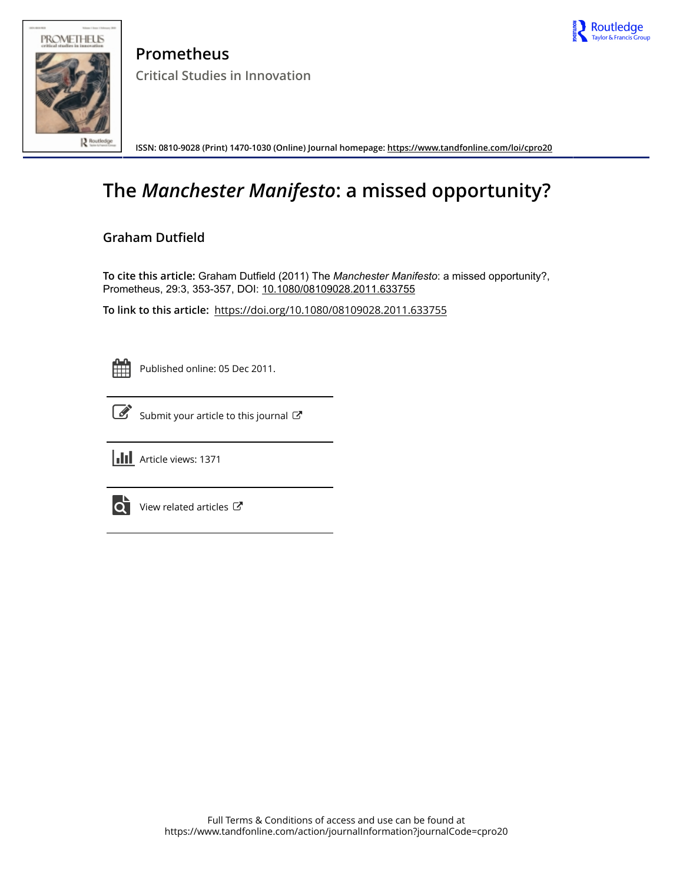



**Prometheus Critical Studies in Innovation**

**ISSN: 0810-9028 (Print) 1470-1030 (Online) Journal homepage:<https://www.tandfonline.com/loi/cpro20>**

# **The** *Manchester Manifesto***: a missed opportunity?**

## **Graham Dutfield**

To cite this article: Graham Dutfield (2011) The *Manchester Manifesto*: a missed opportunity?, Prometheus, 29:3, 353-357, DOI: [10.1080/08109028.2011.633755](https://www.tandfonline.com/action/showCitFormats?doi=10.1080/08109028.2011.633755)

**To link to this article:** <https://doi.org/10.1080/08109028.2011.633755>

Published online: 05 Dec 2011.



 $\overrightarrow{S}$  [Submit your article to this journal](https://www.tandfonline.com/action/authorSubmission?journalCode=cpro20&show=instructions)  $\overrightarrow{S}$ 



**III** Article views: 1371



 $\overrightarrow{Q}$  [View related articles](https://www.tandfonline.com/doi/mlt/10.1080/08109028.2011.633755)  $\overrightarrow{C}$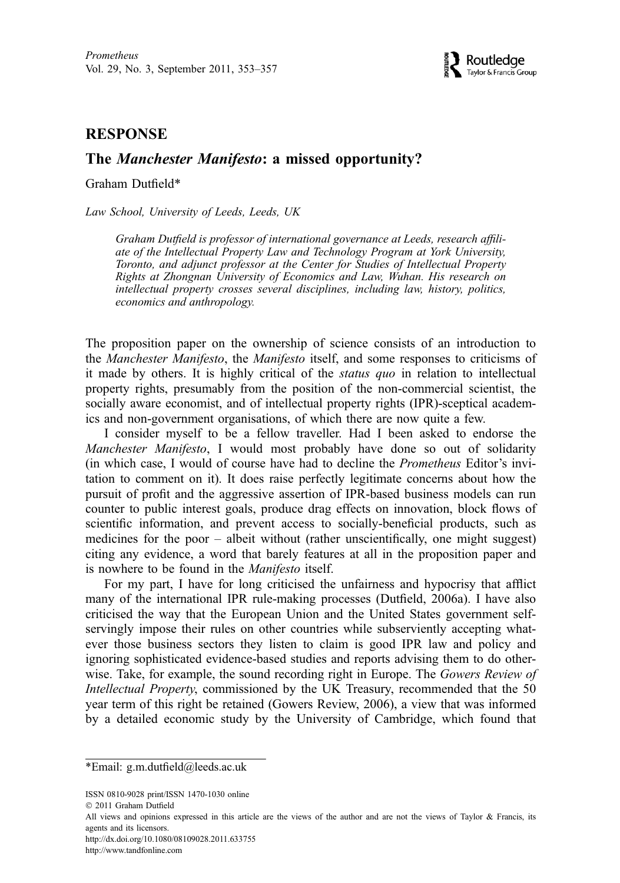### **RESPONSE**

## The Manchester Manifesto: a missed opportunity?

Graham Dutfield\*

Law School, University of Leeds, Leeds, UK

Graham Dutfield is professor of international governance at Leeds, research affiliate of the Intellectual Property Law and Technology Program at York University, Toronto, and adjunct professor at the Center for Studies of Intellectual Property Rights at Zhongnan University of Economics and Law, Wuhan. His research on intellectual property crosses several disciplines, including law, history, politics, economics and anthropology.

The proposition paper on the ownership of science consists of an introduction to the Manchester Manifesto, the Manifesto itself, and some responses to criticisms of it made by others. It is highly critical of the status quo in relation to intellectual property rights, presumably from the position of the non-commercial scientist, the socially aware economist, and of intellectual property rights (IPR)-sceptical academics and non-government organisations, of which there are now quite a few.

I consider myself to be a fellow traveller. Had I been asked to endorse the Manchester Manifesto, I would most probably have done so out of solidarity (in which case, I would of course have had to decline the Prometheus Editor's invitation to comment on it). It does raise perfectly legitimate concerns about how the pursuit of profit and the aggressive assertion of IPR-based business models can run counter to public interest goals, produce drag effects on innovation, block flows of scientific information, and prevent access to socially-beneficial products, such as medicines for the poor – albeit without (rather unscientifically, one might suggest) citing any evidence, a word that barely features at all in the proposition paper and is nowhere to be found in the Manifesto itself.

For my part, I have for long criticised the unfairness and hypocrisy that afflict many of the international IPR rule-making processes (Dutfield, 2006a). I have also criticised the way that the European Union and the United States government selfservingly impose their rules on other countries while subserviently accepting whatever those business sectors they listen to claim is good IPR law and policy and ignoring sophisticated evidence-based studies and reports advising them to do otherwise. Take, for example, the sound recording right in Europe. The Gowers Review of Intellectual Property, commissioned by the UK Treasury, recommended that the 50 year term of this right be retained (Gowers Review, 2006), a view that was informed by a detailed economic study by the University of Cambridge, which found that

ISSN 0810-9028 print/ISSN 1470-1030 online

http://dx.doi.org/10.1080/08109028.2011.633755

http://www.tandfonline.com

<sup>\*</sup>Email: g.m.dutfield@leeds.ac.uk

2011 Graham Dutfield

All views and opinions expressed in this article are the views of the author and are not the views of Taylor & Francis, its agents and its licensors.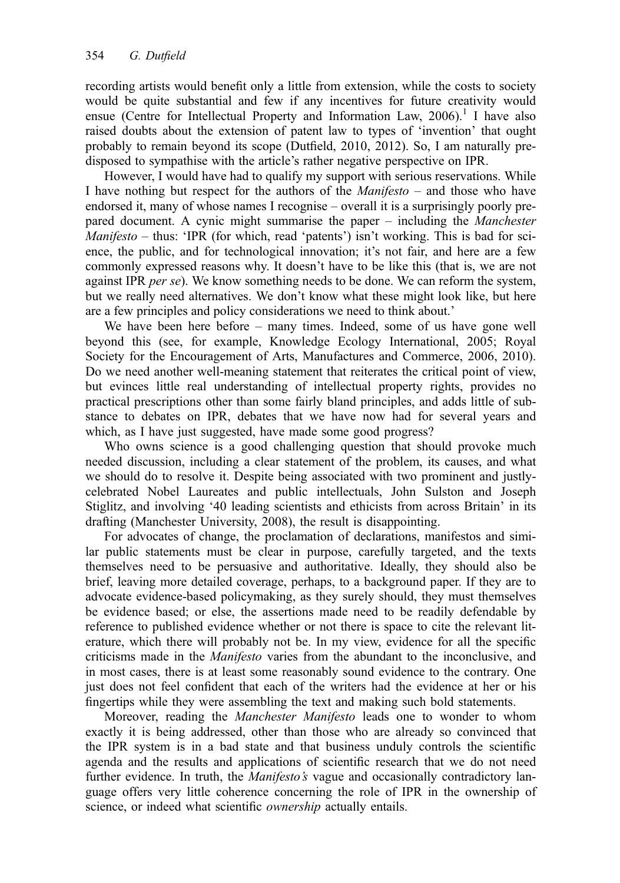recording artists would benefit only a little from extension, while the costs to society would be quite substantial and few if any incentives for future creativity would ensue (Centre for Intellectual Property and Information Law,  $2006$ ).<sup>1</sup> I have also raised doubts about the extension of patent law to types of 'invention' that ought probably to remain beyond its scope (Dutfield, 2010, 2012). So, I am naturally predisposed to sympathise with the article's rather negative perspective on IPR.

However, I would have had to qualify my support with serious reservations. While I have nothing but respect for the authors of the *Manifesto* – and those who have endorsed it, many of whose names I recognise – overall it is a surprisingly poorly prepared document. A cynic might summarise the paper – including the Manchester *Manifesto – thus:* 'IPR (for which, read 'patents') isn't working. This is bad for science, the public, and for technological innovation; it's not fair, and here are a few commonly expressed reasons why. It doesn't have to be like this (that is, we are not against IPR *per se*). We know something needs to be done. We can reform the system, but we really need alternatives. We don't know what these might look like, but here are a few principles and policy considerations we need to think about.'

We have been here before – many times. Indeed, some of us have gone well beyond this (see, for example, Knowledge Ecology International, 2005; Royal Society for the Encouragement of Arts, Manufactures and Commerce, 2006, 2010). Do we need another well-meaning statement that reiterates the critical point of view, but evinces little real understanding of intellectual property rights, provides no practical prescriptions other than some fairly bland principles, and adds little of substance to debates on IPR, debates that we have now had for several years and which, as I have just suggested, have made some good progress?

Who owns science is a good challenging question that should provoke much needed discussion, including a clear statement of the problem, its causes, and what we should do to resolve it. Despite being associated with two prominent and justlycelebrated Nobel Laureates and public intellectuals, John Sulston and Joseph Stiglitz, and involving '40 leading scientists and ethicists from across Britain' in its drafting (Manchester University, 2008), the result is disappointing.

For advocates of change, the proclamation of declarations, manifestos and similar public statements must be clear in purpose, carefully targeted, and the texts themselves need to be persuasive and authoritative. Ideally, they should also be brief, leaving more detailed coverage, perhaps, to a background paper. If they are to advocate evidence-based policymaking, as they surely should, they must themselves be evidence based; or else, the assertions made need to be readily defendable by reference to published evidence whether or not there is space to cite the relevant literature, which there will probably not be. In my view, evidence for all the specific criticisms made in the Manifesto varies from the abundant to the inconclusive, and in most cases, there is at least some reasonably sound evidence to the contrary. One just does not feel confident that each of the writers had the evidence at her or his fingertips while they were assembling the text and making such bold statements.

Moreover, reading the *Manchester Manifesto* leads one to wonder to whom exactly it is being addressed, other than those who are already so convinced that the IPR system is in a bad state and that business unduly controls the scientific agenda and the results and applications of scientific research that we do not need further evidence. In truth, the *Manifesto's* vague and occasionally contradictory language offers very little coherence concerning the role of IPR in the ownership of science, or indeed what scientific *ownership* actually entails.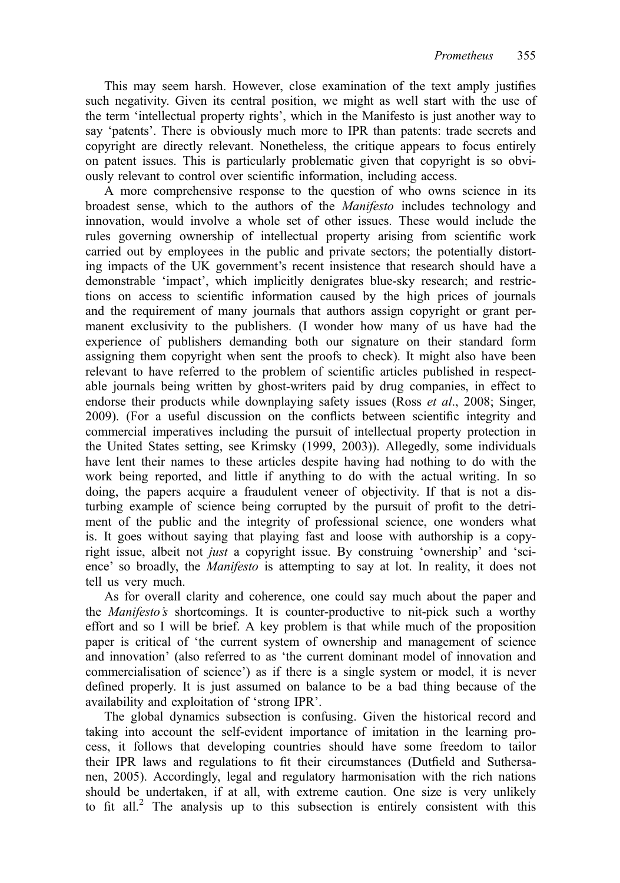This may seem harsh. However, close examination of the text amply justifies such negativity. Given its central position, we might as well start with the use of the term 'intellectual property rights', which in the Manifesto is just another way to say 'patents'. There is obviously much more to IPR than patents: trade secrets and copyright are directly relevant. Nonetheless, the critique appears to focus entirely on patent issues. This is particularly problematic given that copyright is so obviously relevant to control over scientific information, including access.

A more comprehensive response to the question of who owns science in its broadest sense, which to the authors of the Manifesto includes technology and innovation, would involve a whole set of other issues. These would include the rules governing ownership of intellectual property arising from scientific work carried out by employees in the public and private sectors; the potentially distorting impacts of the UK government's recent insistence that research should have a demonstrable 'impact', which implicitly denigrates blue-sky research; and restrictions on access to scientific information caused by the high prices of journals and the requirement of many journals that authors assign copyright or grant permanent exclusivity to the publishers. (I wonder how many of us have had the experience of publishers demanding both our signature on their standard form assigning them copyright when sent the proofs to check). It might also have been relevant to have referred to the problem of scientific articles published in respectable journals being written by ghost-writers paid by drug companies, in effect to endorse their products while downplaying safety issues (Ross *et al.*, 2008; Singer, 2009). (For a useful discussion on the conflicts between scientific integrity and commercial imperatives including the pursuit of intellectual property protection in the United States setting, see Krimsky (1999, 2003)). Allegedly, some individuals have lent their names to these articles despite having had nothing to do with the work being reported, and little if anything to do with the actual writing. In so doing, the papers acquire a fraudulent veneer of objectivity. If that is not a disturbing example of science being corrupted by the pursuit of profit to the detriment of the public and the integrity of professional science, one wonders what is. It goes without saying that playing fast and loose with authorship is a copyright issue, albeit not just a copyright issue. By construing 'ownership' and 'science' so broadly, the *Manifesto* is attempting to say at lot. In reality, it does not tell us very much.

As for overall clarity and coherence, one could say much about the paper and the Manifesto's shortcomings. It is counter-productive to nit-pick such a worthy effort and so I will be brief. A key problem is that while much of the proposition paper is critical of 'the current system of ownership and management of science and innovation' (also referred to as 'the current dominant model of innovation and commercialisation of science') as if there is a single system or model, it is never defined properly. It is just assumed on balance to be a bad thing because of the availability and exploitation of 'strong IPR'.

The global dynamics subsection is confusing. Given the historical record and taking into account the self-evident importance of imitation in the learning process, it follows that developing countries should have some freedom to tailor their IPR laws and regulations to fit their circumstances (Dutfield and Suthersanen, 2005). Accordingly, legal and regulatory harmonisation with the rich nations should be undertaken, if at all, with extreme caution. One size is very unlikely to fit all.<sup>2</sup> The analysis up to this subsection is entirely consistent with this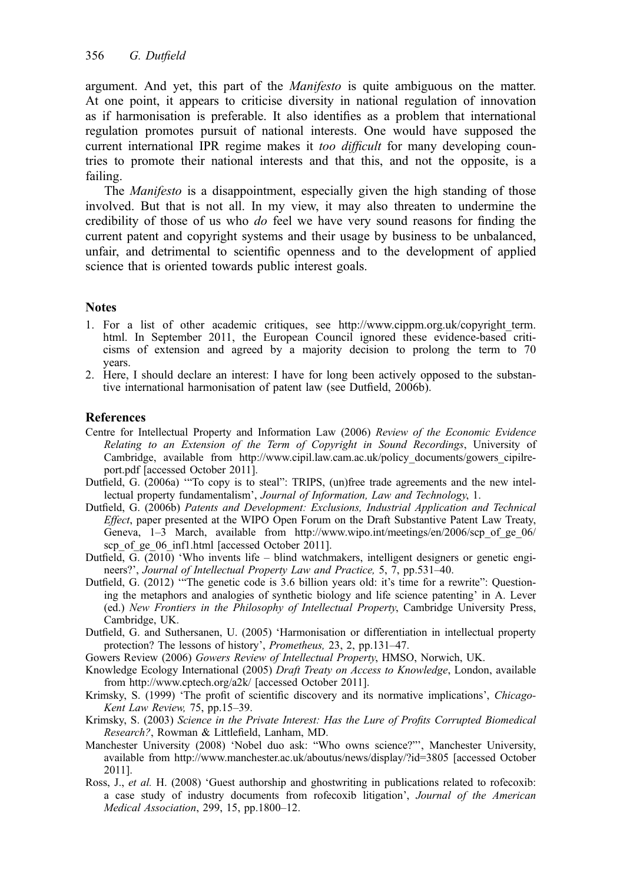argument. And yet, this part of the Manifesto is quite ambiguous on the matter. At one point, it appears to criticise diversity in national regulation of innovation as if harmonisation is preferable. It also identifies as a problem that international regulation promotes pursuit of national interests. One would have supposed the current international IPR regime makes it *too difficult* for many developing countries to promote their national interests and that this, and not the opposite, is a failing.

The *Manifesto* is a disappointment, especially given the high standing of those involved. But that is not all. In my view, it may also threaten to undermine the credibility of those of us who do feel we have very sound reasons for finding the current patent and copyright systems and their usage by business to be unbalanced, unfair, and detrimental to scientific openness and to the development of applied science that is oriented towards public interest goals.

#### **Notes**

- 1. For a list of other academic critiques, see http://www.cippm.org.uk/copyright\_term. html. In September 2011, the European Council ignored these evidence-based criticisms of extension and agreed by a majority decision to prolong the term to 70 years.
- 2. Here, I should declare an interest: I have for long been actively opposed to the substantive international harmonisation of patent law (see Dutfield, 2006b).

#### References

- Centre for Intellectual Property and Information Law (2006) Review of the Economic Evidence Relating to an Extension of the Term of Copyright in Sound Recordings, University of Cambridge, available from http://www.cipil.law.cam.ac.uk/policy\_documents/gowers\_cipilreport.pdf [accessed October 2011].
- Dutfield, G. (2006a) '"To copy is to steal": TRIPS, (un)free trade agreements and the new intellectual property fundamentalism', Journal of Information, Law and Technology, 1.
- Dutfield, G. (2006b) Patents and Development: Exclusions, Industrial Application and Technical Effect, paper presented at the WIPO Open Forum on the Draft Substantive Patent Law Treaty, Geneva, 1–3 March, available from http://www.wipo.int/meetings/en/2006/scp of ge 06/ scp\_of\_ge\_06\_inf1.html [accessed October 2011].
- Dutfield, G. (2010) 'Who invents life blind watchmakers, intelligent designers or genetic engineers?', Journal of Intellectual Property Law and Practice, 5, 7, pp.531–40.
- Dutfield, G. (2012) '"The genetic code is 3.6 billion years old: it's time for a rewrite": Questioning the metaphors and analogies of synthetic biology and life science patenting' in A. Lever (ed.) New Frontiers in the Philosophy of Intellectual Property, Cambridge University Press, Cambridge, UK.
- Dutfield, G. and Suthersanen, U. (2005) 'Harmonisation or differentiation in intellectual property protection? The lessons of history', Prometheus, 23, 2, pp.131–47.
- Gowers Review (2006) Gowers Review of Intellectual Property, HMSO, Norwich, UK.
- Knowledge Ecology International (2005) Draft Treaty on Access to Knowledge, London, available from http://www.cptech.org/a2k/ [accessed October 2011].
- Krimsky, S. (1999) 'The profit of scientific discovery and its normative implications', Chicago-Kent Law Review, 75, pp.15–39.
- Krimsky, S. (2003) Science in the Private Interest: Has the Lure of Profits Corrupted Biomedical Research?, Rowman & Littlefield, Lanham, MD.
- Manchester University (2008) 'Nobel duo ask: "Who owns science?"', Manchester University, available from http://www.manchester.ac.uk/aboutus/news/display/?id=3805 [accessed October 2011].
- Ross, J., et al. H. (2008) 'Guest authorship and ghostwriting in publications related to rofecoxib: a case study of industry documents from rofecoxib litigation', Journal of the American Medical Association, 299, 15, pp.1800–12.